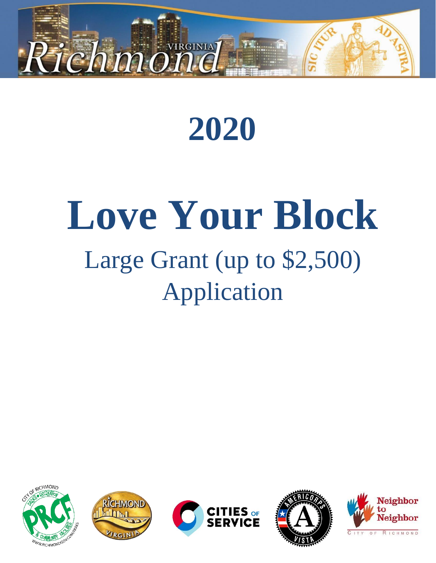

## **2020**

# **Love Your Block**  Large Grant (up to \$2,500) Application









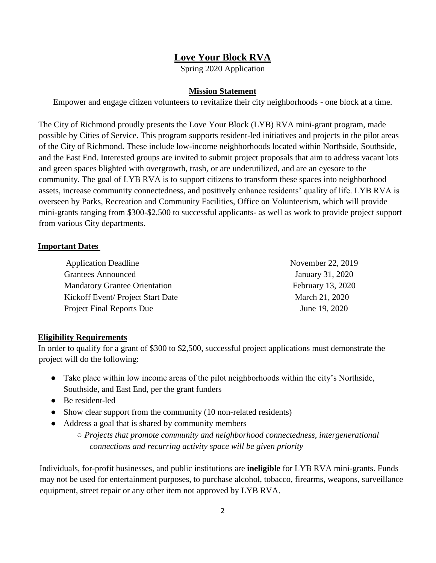## **Love Your Block RVA**

Spring 2020 Application

#### **Mission Statement**

Empower and engage citizen volunteers to revitalize their city neighborhoods - one block at a time.

The City of Richmond proudly presents the Love Your Block (LYB) RVA mini-grant program, made possible by Cities of Service. This program supports resident-led initiatives and projects in the pilot areas of the City of Richmond. These include low-income neighborhoods located within Northside, Southside, and the East End. Interested groups are invited to submit project proposals that aim to address vacant lots and green spaces blighted with overgrowth, trash, or are underutilized, and are an eyesore to the community. The goal of LYB RVA is to support citizens to transform these spaces into neighborhood assets, increase community connectedness, and positively enhance residents' quality of life. LYB RVA is overseen by Parks, Recreation and Community Facilities, Office on Volunteerism, which will provide mini-grants ranging from \$300-\$2,500 to successful applicants- as well as work to provide project support from various City departments.

#### **Important Dates**

Application Deadline November 22, 2019 Grantees Announced January 31, 2020 Mandatory Grantee Orientation February 13, 2020 Kickoff Event/ Project Start Date March 21, 2020 Project Final Reports Due June 19, 2020

#### **Eligibility Requirements**

In order to qualify for a grant of \$300 to \$2,500, successful project applications must demonstrate the project will do the following:

- Take place within low income areas of the pilot neighborhoods within the city's Northside, Southside, and East End, per the grant funders
- Be resident-led
- Show clear support from the community (10 non-related residents)
- Address a goal that is shared by community members

○ *Projects that promote community and neighborhood connectedness, intergenerational connections and recurring activity space will be given priority* 

Individuals, for-profit businesses, and public institutions are **ineligible** for LYB RVA mini-grants. Funds may not be used for entertainment purposes, to purchase alcohol, tobacco, firearms, weapons, surveillance equipment, street repair or any other item not approved by LYB RVA.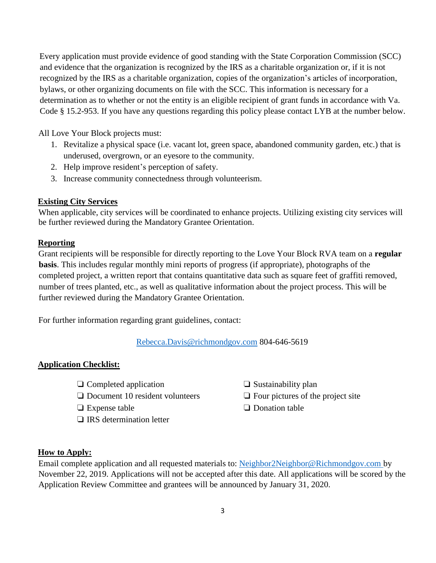Every application must provide evidence of good standing with the State Corporation Commission (SCC) and evidence that the organization is recognized by the IRS as a charitable organization or, if it is not recognized by the IRS as a charitable organization, copies of the organization's articles of incorporation, bylaws, or other organizing documents on file with the SCC. This information is necessary for a determination as to whether or not the entity is an eligible recipient of grant funds in accordance with Va. Code § 15.2-953. If you have any questions regarding this policy please contact LYB at the number below.

All Love Your Block projects must:

- 1. Revitalize a physical space (i.e. vacant lot, green space, abandoned community garden, etc.) that is underused, overgrown, or an eyesore to the community.
- 2. Help improve resident's perception of safety.
- 3. Increase community connectedness through volunteerism.

#### **Existing City Services**

When applicable, city services will be coordinated to enhance projects. Utilizing existing city services will be further reviewed during the Mandatory Grantee Orientation.

#### **Reporting**

Grant recipients will be responsible for directly reporting to the Love Your Block RVA team on a **regular basis**. This includes regular monthly mini reports of progress (if appropriate), photographs of the completed project, a written report that contains quantitative data such as square feet of graffiti removed, number of trees planted, etc., as well as qualitative information about the project process. This will be further reviewed during the Mandatory Grantee Orientation.

For further information regarding grant guidelines, contact:

[Rebecca.Davis@richmondgov.com](mailto:Rebecca.Davis@richmondgov.com) 804-646-5619

#### **Application Checklist:**

- ❏ Completed application ❏ Sustainability plan
- ❏ Document 10 resident volunteers ❏ Four pictures of the project site
- 
- ❏ IRS determination letter
- 
- 
- ❏ Expense table ❏ Donation table

#### **How to Apply:**

Email complete application and all requested materials to: [Neighbor2Neighbor@Richmondgov.com](mailto:Neighbor2Neighbor@Richmondgov.com) by November 22, 2019. Applications will not be accepted after this date. All applications will be scored by the Application Review Committee and grantees will be announced by January 31, 2020.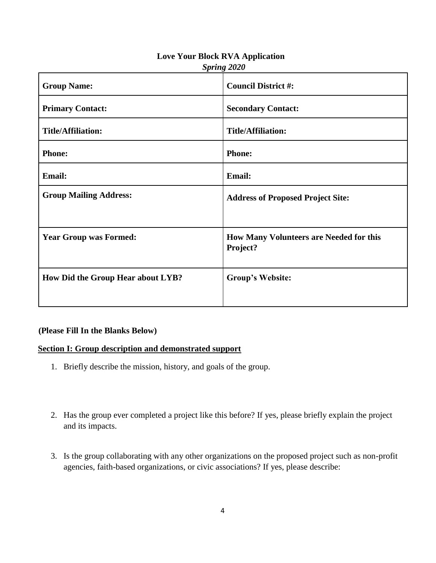| $\nu_{\rm F}$ $\lambda_{\rm F}$ = $\nu$ = $\nu$ |                                                     |  |
|-------------------------------------------------|-----------------------------------------------------|--|
| <b>Group Name:</b>                              | <b>Council District #:</b>                          |  |
| <b>Primary Contact:</b>                         | <b>Secondary Contact:</b>                           |  |
| <b>Title/Affiliation:</b>                       | <b>Title/Affiliation:</b>                           |  |
| <b>Phone:</b>                                   | <b>Phone:</b>                                       |  |
| <b>Email:</b>                                   | Email:                                              |  |
| <b>Group Mailing Address:</b>                   | <b>Address of Proposed Project Site:</b>            |  |
| <b>Year Group was Formed:</b>                   | How Many Volunteers are Needed for this<br>Project? |  |
| <b>How Did the Group Hear about LYB?</b>        | <b>Group's Website:</b>                             |  |

#### **Love Your Block RVA Application** *Spring 2020*

## **(Please Fill In the Blanks Below)**

## **Section I: Group description and demonstrated support**

- 1. Briefly describe the mission, history, and goals of the group.
- 2. Has the group ever completed a project like this before? If yes, please briefly explain the project and its impacts.
- 3. Is the group collaborating with any other organizations on the proposed project such as non-profit agencies, faith-based organizations, or civic associations? If yes, please describe: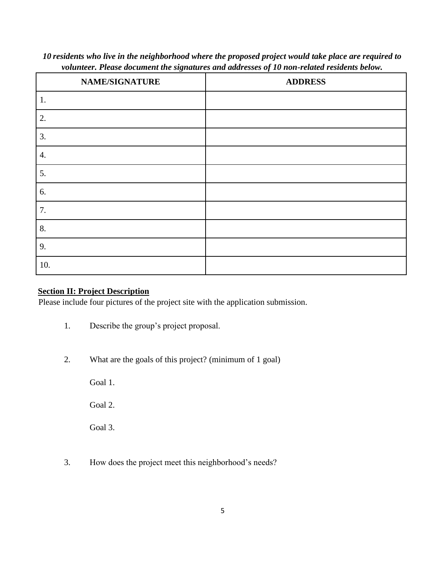| 10 residents who live in the neighborhood where the proposed project would take place are required to |
|-------------------------------------------------------------------------------------------------------|
| volunteer. Please document the signatures and addresses of 10 non-related residents below.            |

| NAME/SIGNATURE | <b>ADDRESS</b> |
|----------------|----------------|
| 1.             |                |
| 2.             |                |
| 3.             |                |
| 4.             |                |
| 5.             |                |
| 6.             |                |
| 7.             |                |
| 8.             |                |
| 9.             |                |
| 10.            |                |

## **Section II: Project Description**

Please include four pictures of the project site with the application submission.

- 1. Describe the group's project proposal.
- 2. What are the goals of this project? (minimum of 1 goal)

Goal 1.

Goal 2.

Goal 3.

3. How does the project meet this neighborhood's needs?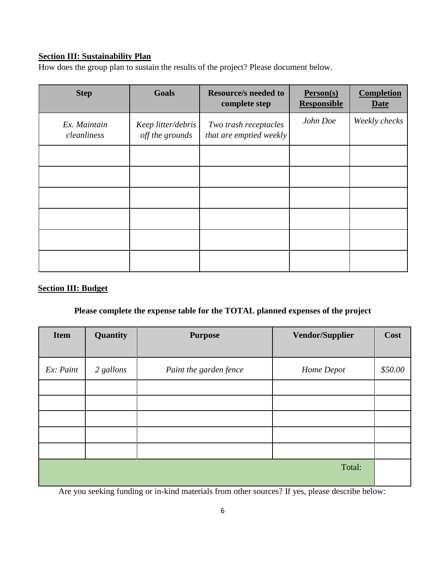## **Section III: Sustainability Plan**

How does the group plan to sustain the results of the project? Please document below.

| <b>Step</b>                 | <b>Goals</b>                          | <b>Resource/s needed to</b><br>complete step     | Person(s)<br><b>Responsible</b> | <b>Completion</b><br><b>Date</b> |
|-----------------------------|---------------------------------------|--------------------------------------------------|---------------------------------|----------------------------------|
| Ex. Maintain<br>cleanliness | Keep litter/debris<br>off the grounds | Two trash receptacles<br>that are emptied weekly | John Doe                        | Weekly checks                    |
|                             |                                       |                                                  |                                 |                                  |
|                             |                                       |                                                  |                                 |                                  |
|                             |                                       |                                                  |                                 |                                  |
|                             |                                       |                                                  |                                 |                                  |
|                             |                                       |                                                  |                                 |                                  |
|                             |                                       |                                                  |                                 |                                  |

## **Section III: Budget**

## **Please complete the expense table for the TOTAL planned expenses of the project**

| <b>Item</b> | Quantity  | <b>Purpose</b>         | <b>Vendor/Supplier</b> | Cost    |
|-------------|-----------|------------------------|------------------------|---------|
|             |           |                        |                        |         |
| Ex: Paint   | 2 gallons | Paint the garden fence | Home Depot             | \$50.00 |
|             |           |                        |                        |         |
|             |           |                        |                        |         |
|             |           |                        |                        |         |
|             |           |                        |                        |         |
|             |           |                        |                        |         |
|             |           |                        | Total:                 |         |
|             |           |                        |                        |         |

Are you seeking funding or in-kind materials from other sources? If yes, please describe below: